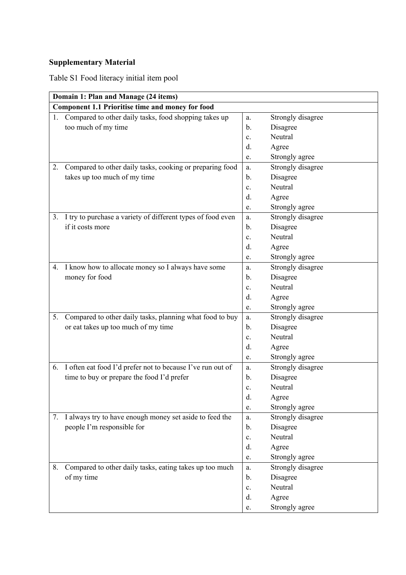## **Supplementary Material**

Table S1 Food literacy initial item pool

|    | Domain 1: Plan and Manage (24 items)                        |                |                   |  |  |
|----|-------------------------------------------------------------|----------------|-------------------|--|--|
|    | <b>Component 1.1 Prioritise time and money for food</b>     |                |                   |  |  |
| 1. | Compared to other daily tasks, food shopping takes up       | a.             | Strongly disagree |  |  |
|    | too much of my time                                         | b.             | Disagree          |  |  |
|    |                                                             | $\mathbf{c}$ . | Neutral           |  |  |
|    |                                                             | d.             | Agree             |  |  |
|    |                                                             | e.             | Strongly agree    |  |  |
| 2. | Compared to other daily tasks, cooking or preparing food    | a.             | Strongly disagree |  |  |
|    | takes up too much of my time                                | b.             | Disagree          |  |  |
|    |                                                             | c.             | Neutral           |  |  |
|    |                                                             | d.             | Agree             |  |  |
|    |                                                             | e.             | Strongly agree    |  |  |
| 3. | I try to purchase a variety of different types of food even | a.             | Strongly disagree |  |  |
|    | if it costs more                                            | b.             | Disagree          |  |  |
|    |                                                             | c.             | Neutral           |  |  |
|    |                                                             | d.             | Agree             |  |  |
|    |                                                             | e.             | Strongly agree    |  |  |
| 4. | I know how to allocate money so I always have some          | a.             | Strongly disagree |  |  |
|    | money for food                                              | b.             | Disagree          |  |  |
|    |                                                             | c.             | Neutral           |  |  |
|    |                                                             | d.             | Agree             |  |  |
|    |                                                             | e.             | Strongly agree    |  |  |
| 5. | Compared to other daily tasks, planning what food to buy    | a.             | Strongly disagree |  |  |
|    | or eat takes up too much of my time                         | b.             | Disagree          |  |  |
|    |                                                             | c.             | Neutral           |  |  |
|    |                                                             | d.             | Agree             |  |  |
|    |                                                             | e.             | Strongly agree    |  |  |
| 6. | I often eat food I'd prefer not to because I've run out of  | a.             | Strongly disagree |  |  |
|    | time to buy or prepare the food I'd prefer                  | b.             | Disagree          |  |  |
|    |                                                             | c.             | Neutral           |  |  |
|    |                                                             | d.             | Agree             |  |  |
|    |                                                             | e.             | Strongly agree    |  |  |
| 7. | I always try to have enough money set aside to feed the     | a.             | Strongly disagree |  |  |
|    | people I'm responsible for                                  | $\mathbf{b}$ . | Disagree          |  |  |
|    |                                                             | c.             | Neutral           |  |  |
|    |                                                             | d.             | Agree             |  |  |
|    |                                                             | e.             | Strongly agree    |  |  |
| 8. | Compared to other daily tasks, eating takes up too much     | a.             | Strongly disagree |  |  |
|    | of my time                                                  | b.             | Disagree          |  |  |
|    |                                                             | c.             | Neutral           |  |  |
|    |                                                             | d.             | Agree             |  |  |
|    |                                                             | e.             | Strongly agree    |  |  |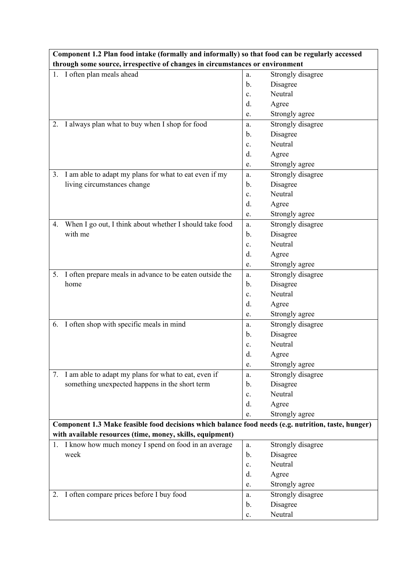| through some source, irrespective of changes in circumstances or environment<br>1. I often plan meals ahead<br>Strongly disagree<br>a.<br>Disagree<br>$b$ .<br>Neutral<br>c.<br>Agree<br>d.<br>Strongly agree<br>e.<br>I always plan what to buy when I shop for food<br>Strongly disagree<br>2.<br>a.<br>Disagree<br>b.<br>Neutral<br>$\mathbf{c}$ .<br>d.<br>Agree<br>Strongly agree<br>e.<br>I am able to adapt my plans for what to eat even if my<br>Strongly disagree<br>3.<br>a.<br>Disagree<br>living circumstances change<br>$\mathbf{b}$ .<br>Neutral<br>c.<br>d.<br>Agree<br>Strongly agree<br>e.<br>When I go out, I think about whether I should take food<br>Strongly disagree<br>4.<br>a.<br>with me<br>Disagree<br>b.<br>Neutral<br>c.<br>d.<br>Agree<br>Strongly agree<br>e.<br>I often prepare meals in advance to be eaten outside the<br>Strongly disagree<br>5.<br>a.<br>Disagree<br>home<br>b.<br>Neutral<br>c.<br>d.<br>Agree<br>Strongly agree<br>e.<br>6. I often shop with specific meals in mind<br>Strongly disagree<br>a.<br>Disagree<br>b.<br>Neutral<br>c.<br>d.<br>Agree<br>Strongly agree<br>e.<br>7. I am able to adapt my plans for what to eat, even if<br>Strongly disagree<br>a.<br>something unexpected happens in the short term<br>Disagree<br>b.<br>Neutral<br>c.<br>d.<br>Agree<br>Strongly agree<br>e.<br>Component 1.3 Make feasible food decisions which balance food needs (e.g. nutrition, taste, hunger)<br>with available resources (time, money, skills, equipment)<br>1. I know how much money I spend on food in an average<br>Strongly disagree<br>a.<br>Disagree<br>week<br>b.<br>Neutral<br>c.<br>d.<br>Agree<br>Strongly agree<br>e.<br>I often compare prices before I buy food<br>Strongly disagree<br>2.<br>a.<br>Disagree<br>b.<br>Neutral<br>c. |  | Component 1.2 Plan food intake (formally and informally) so that food can be regularly accessed |  |  |  |  |
|---------------------------------------------------------------------------------------------------------------------------------------------------------------------------------------------------------------------------------------------------------------------------------------------------------------------------------------------------------------------------------------------------------------------------------------------------------------------------------------------------------------------------------------------------------------------------------------------------------------------------------------------------------------------------------------------------------------------------------------------------------------------------------------------------------------------------------------------------------------------------------------------------------------------------------------------------------------------------------------------------------------------------------------------------------------------------------------------------------------------------------------------------------------------------------------------------------------------------------------------------------------------------------------------------------------------------------------------------------------------------------------------------------------------------------------------------------------------------------------------------------------------------------------------------------------------------------------------------------------------------------------------------------------------------------------------------------------------------------------------------------------------------------------------------------------|--|-------------------------------------------------------------------------------------------------|--|--|--|--|
|                                                                                                                                                                                                                                                                                                                                                                                                                                                                                                                                                                                                                                                                                                                                                                                                                                                                                                                                                                                                                                                                                                                                                                                                                                                                                                                                                                                                                                                                                                                                                                                                                                                                                                                                                                                                               |  |                                                                                                 |  |  |  |  |
|                                                                                                                                                                                                                                                                                                                                                                                                                                                                                                                                                                                                                                                                                                                                                                                                                                                                                                                                                                                                                                                                                                                                                                                                                                                                                                                                                                                                                                                                                                                                                                                                                                                                                                                                                                                                               |  |                                                                                                 |  |  |  |  |
|                                                                                                                                                                                                                                                                                                                                                                                                                                                                                                                                                                                                                                                                                                                                                                                                                                                                                                                                                                                                                                                                                                                                                                                                                                                                                                                                                                                                                                                                                                                                                                                                                                                                                                                                                                                                               |  |                                                                                                 |  |  |  |  |
|                                                                                                                                                                                                                                                                                                                                                                                                                                                                                                                                                                                                                                                                                                                                                                                                                                                                                                                                                                                                                                                                                                                                                                                                                                                                                                                                                                                                                                                                                                                                                                                                                                                                                                                                                                                                               |  |                                                                                                 |  |  |  |  |
|                                                                                                                                                                                                                                                                                                                                                                                                                                                                                                                                                                                                                                                                                                                                                                                                                                                                                                                                                                                                                                                                                                                                                                                                                                                                                                                                                                                                                                                                                                                                                                                                                                                                                                                                                                                                               |  |                                                                                                 |  |  |  |  |
|                                                                                                                                                                                                                                                                                                                                                                                                                                                                                                                                                                                                                                                                                                                                                                                                                                                                                                                                                                                                                                                                                                                                                                                                                                                                                                                                                                                                                                                                                                                                                                                                                                                                                                                                                                                                               |  |                                                                                                 |  |  |  |  |
|                                                                                                                                                                                                                                                                                                                                                                                                                                                                                                                                                                                                                                                                                                                                                                                                                                                                                                                                                                                                                                                                                                                                                                                                                                                                                                                                                                                                                                                                                                                                                                                                                                                                                                                                                                                                               |  |                                                                                                 |  |  |  |  |
|                                                                                                                                                                                                                                                                                                                                                                                                                                                                                                                                                                                                                                                                                                                                                                                                                                                                                                                                                                                                                                                                                                                                                                                                                                                                                                                                                                                                                                                                                                                                                                                                                                                                                                                                                                                                               |  |                                                                                                 |  |  |  |  |
|                                                                                                                                                                                                                                                                                                                                                                                                                                                                                                                                                                                                                                                                                                                                                                                                                                                                                                                                                                                                                                                                                                                                                                                                                                                                                                                                                                                                                                                                                                                                                                                                                                                                                                                                                                                                               |  |                                                                                                 |  |  |  |  |
|                                                                                                                                                                                                                                                                                                                                                                                                                                                                                                                                                                                                                                                                                                                                                                                                                                                                                                                                                                                                                                                                                                                                                                                                                                                                                                                                                                                                                                                                                                                                                                                                                                                                                                                                                                                                               |  |                                                                                                 |  |  |  |  |
|                                                                                                                                                                                                                                                                                                                                                                                                                                                                                                                                                                                                                                                                                                                                                                                                                                                                                                                                                                                                                                                                                                                                                                                                                                                                                                                                                                                                                                                                                                                                                                                                                                                                                                                                                                                                               |  |                                                                                                 |  |  |  |  |
|                                                                                                                                                                                                                                                                                                                                                                                                                                                                                                                                                                                                                                                                                                                                                                                                                                                                                                                                                                                                                                                                                                                                                                                                                                                                                                                                                                                                                                                                                                                                                                                                                                                                                                                                                                                                               |  |                                                                                                 |  |  |  |  |
|                                                                                                                                                                                                                                                                                                                                                                                                                                                                                                                                                                                                                                                                                                                                                                                                                                                                                                                                                                                                                                                                                                                                                                                                                                                                                                                                                                                                                                                                                                                                                                                                                                                                                                                                                                                                               |  |                                                                                                 |  |  |  |  |
|                                                                                                                                                                                                                                                                                                                                                                                                                                                                                                                                                                                                                                                                                                                                                                                                                                                                                                                                                                                                                                                                                                                                                                                                                                                                                                                                                                                                                                                                                                                                                                                                                                                                                                                                                                                                               |  |                                                                                                 |  |  |  |  |
|                                                                                                                                                                                                                                                                                                                                                                                                                                                                                                                                                                                                                                                                                                                                                                                                                                                                                                                                                                                                                                                                                                                                                                                                                                                                                                                                                                                                                                                                                                                                                                                                                                                                                                                                                                                                               |  |                                                                                                 |  |  |  |  |
|                                                                                                                                                                                                                                                                                                                                                                                                                                                                                                                                                                                                                                                                                                                                                                                                                                                                                                                                                                                                                                                                                                                                                                                                                                                                                                                                                                                                                                                                                                                                                                                                                                                                                                                                                                                                               |  |                                                                                                 |  |  |  |  |
|                                                                                                                                                                                                                                                                                                                                                                                                                                                                                                                                                                                                                                                                                                                                                                                                                                                                                                                                                                                                                                                                                                                                                                                                                                                                                                                                                                                                                                                                                                                                                                                                                                                                                                                                                                                                               |  |                                                                                                 |  |  |  |  |
|                                                                                                                                                                                                                                                                                                                                                                                                                                                                                                                                                                                                                                                                                                                                                                                                                                                                                                                                                                                                                                                                                                                                                                                                                                                                                                                                                                                                                                                                                                                                                                                                                                                                                                                                                                                                               |  |                                                                                                 |  |  |  |  |
|                                                                                                                                                                                                                                                                                                                                                                                                                                                                                                                                                                                                                                                                                                                                                                                                                                                                                                                                                                                                                                                                                                                                                                                                                                                                                                                                                                                                                                                                                                                                                                                                                                                                                                                                                                                                               |  |                                                                                                 |  |  |  |  |
|                                                                                                                                                                                                                                                                                                                                                                                                                                                                                                                                                                                                                                                                                                                                                                                                                                                                                                                                                                                                                                                                                                                                                                                                                                                                                                                                                                                                                                                                                                                                                                                                                                                                                                                                                                                                               |  |                                                                                                 |  |  |  |  |
|                                                                                                                                                                                                                                                                                                                                                                                                                                                                                                                                                                                                                                                                                                                                                                                                                                                                                                                                                                                                                                                                                                                                                                                                                                                                                                                                                                                                                                                                                                                                                                                                                                                                                                                                                                                                               |  |                                                                                                 |  |  |  |  |
|                                                                                                                                                                                                                                                                                                                                                                                                                                                                                                                                                                                                                                                                                                                                                                                                                                                                                                                                                                                                                                                                                                                                                                                                                                                                                                                                                                                                                                                                                                                                                                                                                                                                                                                                                                                                               |  |                                                                                                 |  |  |  |  |
|                                                                                                                                                                                                                                                                                                                                                                                                                                                                                                                                                                                                                                                                                                                                                                                                                                                                                                                                                                                                                                                                                                                                                                                                                                                                                                                                                                                                                                                                                                                                                                                                                                                                                                                                                                                                               |  |                                                                                                 |  |  |  |  |
|                                                                                                                                                                                                                                                                                                                                                                                                                                                                                                                                                                                                                                                                                                                                                                                                                                                                                                                                                                                                                                                                                                                                                                                                                                                                                                                                                                                                                                                                                                                                                                                                                                                                                                                                                                                                               |  |                                                                                                 |  |  |  |  |
|                                                                                                                                                                                                                                                                                                                                                                                                                                                                                                                                                                                                                                                                                                                                                                                                                                                                                                                                                                                                                                                                                                                                                                                                                                                                                                                                                                                                                                                                                                                                                                                                                                                                                                                                                                                                               |  |                                                                                                 |  |  |  |  |
|                                                                                                                                                                                                                                                                                                                                                                                                                                                                                                                                                                                                                                                                                                                                                                                                                                                                                                                                                                                                                                                                                                                                                                                                                                                                                                                                                                                                                                                                                                                                                                                                                                                                                                                                                                                                               |  |                                                                                                 |  |  |  |  |
|                                                                                                                                                                                                                                                                                                                                                                                                                                                                                                                                                                                                                                                                                                                                                                                                                                                                                                                                                                                                                                                                                                                                                                                                                                                                                                                                                                                                                                                                                                                                                                                                                                                                                                                                                                                                               |  |                                                                                                 |  |  |  |  |
|                                                                                                                                                                                                                                                                                                                                                                                                                                                                                                                                                                                                                                                                                                                                                                                                                                                                                                                                                                                                                                                                                                                                                                                                                                                                                                                                                                                                                                                                                                                                                                                                                                                                                                                                                                                                               |  |                                                                                                 |  |  |  |  |
|                                                                                                                                                                                                                                                                                                                                                                                                                                                                                                                                                                                                                                                                                                                                                                                                                                                                                                                                                                                                                                                                                                                                                                                                                                                                                                                                                                                                                                                                                                                                                                                                                                                                                                                                                                                                               |  |                                                                                                 |  |  |  |  |
|                                                                                                                                                                                                                                                                                                                                                                                                                                                                                                                                                                                                                                                                                                                                                                                                                                                                                                                                                                                                                                                                                                                                                                                                                                                                                                                                                                                                                                                                                                                                                                                                                                                                                                                                                                                                               |  |                                                                                                 |  |  |  |  |
|                                                                                                                                                                                                                                                                                                                                                                                                                                                                                                                                                                                                                                                                                                                                                                                                                                                                                                                                                                                                                                                                                                                                                                                                                                                                                                                                                                                                                                                                                                                                                                                                                                                                                                                                                                                                               |  |                                                                                                 |  |  |  |  |
|                                                                                                                                                                                                                                                                                                                                                                                                                                                                                                                                                                                                                                                                                                                                                                                                                                                                                                                                                                                                                                                                                                                                                                                                                                                                                                                                                                                                                                                                                                                                                                                                                                                                                                                                                                                                               |  |                                                                                                 |  |  |  |  |
|                                                                                                                                                                                                                                                                                                                                                                                                                                                                                                                                                                                                                                                                                                                                                                                                                                                                                                                                                                                                                                                                                                                                                                                                                                                                                                                                                                                                                                                                                                                                                                                                                                                                                                                                                                                                               |  |                                                                                                 |  |  |  |  |
|                                                                                                                                                                                                                                                                                                                                                                                                                                                                                                                                                                                                                                                                                                                                                                                                                                                                                                                                                                                                                                                                                                                                                                                                                                                                                                                                                                                                                                                                                                                                                                                                                                                                                                                                                                                                               |  |                                                                                                 |  |  |  |  |
|                                                                                                                                                                                                                                                                                                                                                                                                                                                                                                                                                                                                                                                                                                                                                                                                                                                                                                                                                                                                                                                                                                                                                                                                                                                                                                                                                                                                                                                                                                                                                                                                                                                                                                                                                                                                               |  |                                                                                                 |  |  |  |  |
|                                                                                                                                                                                                                                                                                                                                                                                                                                                                                                                                                                                                                                                                                                                                                                                                                                                                                                                                                                                                                                                                                                                                                                                                                                                                                                                                                                                                                                                                                                                                                                                                                                                                                                                                                                                                               |  |                                                                                                 |  |  |  |  |
|                                                                                                                                                                                                                                                                                                                                                                                                                                                                                                                                                                                                                                                                                                                                                                                                                                                                                                                                                                                                                                                                                                                                                                                                                                                                                                                                                                                                                                                                                                                                                                                                                                                                                                                                                                                                               |  |                                                                                                 |  |  |  |  |
|                                                                                                                                                                                                                                                                                                                                                                                                                                                                                                                                                                                                                                                                                                                                                                                                                                                                                                                                                                                                                                                                                                                                                                                                                                                                                                                                                                                                                                                                                                                                                                                                                                                                                                                                                                                                               |  |                                                                                                 |  |  |  |  |
|                                                                                                                                                                                                                                                                                                                                                                                                                                                                                                                                                                                                                                                                                                                                                                                                                                                                                                                                                                                                                                                                                                                                                                                                                                                                                                                                                                                                                                                                                                                                                                                                                                                                                                                                                                                                               |  |                                                                                                 |  |  |  |  |
|                                                                                                                                                                                                                                                                                                                                                                                                                                                                                                                                                                                                                                                                                                                                                                                                                                                                                                                                                                                                                                                                                                                                                                                                                                                                                                                                                                                                                                                                                                                                                                                                                                                                                                                                                                                                               |  |                                                                                                 |  |  |  |  |
|                                                                                                                                                                                                                                                                                                                                                                                                                                                                                                                                                                                                                                                                                                                                                                                                                                                                                                                                                                                                                                                                                                                                                                                                                                                                                                                                                                                                                                                                                                                                                                                                                                                                                                                                                                                                               |  |                                                                                                 |  |  |  |  |
|                                                                                                                                                                                                                                                                                                                                                                                                                                                                                                                                                                                                                                                                                                                                                                                                                                                                                                                                                                                                                                                                                                                                                                                                                                                                                                                                                                                                                                                                                                                                                                                                                                                                                                                                                                                                               |  |                                                                                                 |  |  |  |  |
|                                                                                                                                                                                                                                                                                                                                                                                                                                                                                                                                                                                                                                                                                                                                                                                                                                                                                                                                                                                                                                                                                                                                                                                                                                                                                                                                                                                                                                                                                                                                                                                                                                                                                                                                                                                                               |  |                                                                                                 |  |  |  |  |
|                                                                                                                                                                                                                                                                                                                                                                                                                                                                                                                                                                                                                                                                                                                                                                                                                                                                                                                                                                                                                                                                                                                                                                                                                                                                                                                                                                                                                                                                                                                                                                                                                                                                                                                                                                                                               |  |                                                                                                 |  |  |  |  |
|                                                                                                                                                                                                                                                                                                                                                                                                                                                                                                                                                                                                                                                                                                                                                                                                                                                                                                                                                                                                                                                                                                                                                                                                                                                                                                                                                                                                                                                                                                                                                                                                                                                                                                                                                                                                               |  |                                                                                                 |  |  |  |  |
|                                                                                                                                                                                                                                                                                                                                                                                                                                                                                                                                                                                                                                                                                                                                                                                                                                                                                                                                                                                                                                                                                                                                                                                                                                                                                                                                                                                                                                                                                                                                                                                                                                                                                                                                                                                                               |  |                                                                                                 |  |  |  |  |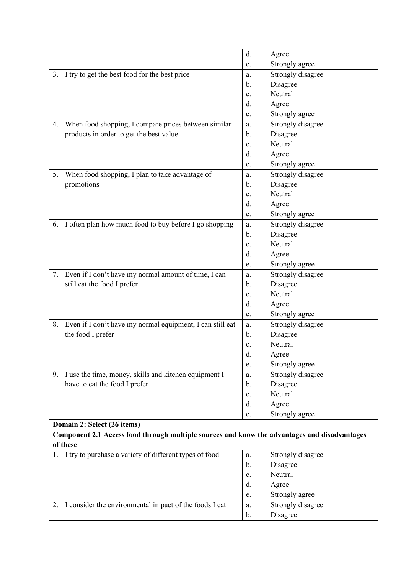|    |                                                                                                          | d.             | Agree             |
|----|----------------------------------------------------------------------------------------------------------|----------------|-------------------|
|    |                                                                                                          | e.             | Strongly agree    |
| 3. | I try to get the best food for the best price                                                            | a.             | Strongly disagree |
|    |                                                                                                          | b.             | Disagree          |
|    |                                                                                                          | c.             | Neutral           |
|    |                                                                                                          | d.             | Agree             |
|    |                                                                                                          | e.             | Strongly agree    |
| 4. | When food shopping, I compare prices between similar                                                     | a.             | Strongly disagree |
|    | products in order to get the best value                                                                  | b.             | Disagree          |
|    |                                                                                                          | c.             | Neutral           |
|    |                                                                                                          | d.             | Agree             |
|    |                                                                                                          | e.             | Strongly agree    |
| 5. | When food shopping, I plan to take advantage of                                                          | a.             | Strongly disagree |
|    | promotions                                                                                               | b.             | Disagree          |
|    |                                                                                                          | $\mathbf{c}$ . | Neutral           |
|    |                                                                                                          | d.             | Agree             |
|    |                                                                                                          | e.             | Strongly agree    |
| 6. | I often plan how much food to buy before I go shopping                                                   | a.             | Strongly disagree |
|    |                                                                                                          | b.             | Disagree          |
|    |                                                                                                          | c.             | Neutral           |
|    |                                                                                                          | d.             | Agree             |
|    |                                                                                                          | e.             | Strongly agree    |
| 7. | Even if I don't have my normal amount of time, I can                                                     | a.             | Strongly disagree |
|    | still eat the food I prefer                                                                              | b.             | Disagree          |
|    |                                                                                                          | c.             | Neutral           |
|    |                                                                                                          | d.             | Agree             |
|    |                                                                                                          | e.             | Strongly agree    |
| 8. | Even if I don't have my normal equipment, I can still eat                                                | a.             | Strongly disagree |
|    | the food I prefer                                                                                        | b.             | Disagree          |
|    |                                                                                                          | c.             | Neutral           |
|    |                                                                                                          | d.             | Agree             |
|    |                                                                                                          | e.             | Strongly agree    |
|    | 9. I use the time, money, skills and kitchen equipment I                                                 | a.             | Strongly disagree |
|    | have to eat the food I prefer                                                                            | b.             | Disagree          |
|    |                                                                                                          | c.             | Neutral           |
|    |                                                                                                          | d.             | Agree             |
|    |                                                                                                          | e.             | Strongly agree    |
|    | Domain 2: Select (26 items)                                                                              |                |                   |
|    | Component 2.1 Access food through multiple sources and know the advantages and disadvantages<br>of these |                |                   |
|    | 1. I try to purchase a variety of different types of food                                                | a.             | Strongly disagree |
|    |                                                                                                          | b.             | Disagree          |
|    |                                                                                                          | $\mathbf{c}$ . | Neutral           |
|    |                                                                                                          | d.             | Agree             |
|    |                                                                                                          | e.             | Strongly agree    |
|    | 2. I consider the environmental impact of the foods I eat                                                | a.             | Strongly disagree |
|    |                                                                                                          | b.             | Disagree          |
|    |                                                                                                          |                |                   |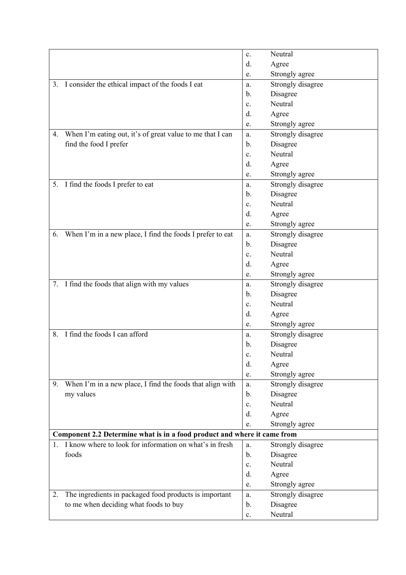|                                                                          |                                                            | c.             | Neutral           |
|--------------------------------------------------------------------------|------------------------------------------------------------|----------------|-------------------|
|                                                                          |                                                            | d.             | Agree             |
|                                                                          |                                                            | e.             | Strongly agree    |
|                                                                          | 3. I consider the ethical impact of the foods I eat        | a.             | Strongly disagree |
|                                                                          |                                                            | b.             | Disagree          |
|                                                                          |                                                            | $\mathbf{c}$ . | Neutral           |
|                                                                          |                                                            | d.             | Agree             |
|                                                                          |                                                            | e.             | Strongly agree    |
| 4.                                                                       | When I'm eating out, it's of great value to me that I can  | a.             | Strongly disagree |
| find the food I prefer                                                   |                                                            | b.             | Disagree          |
|                                                                          |                                                            | $\mathbf{c}$ . | Neutral           |
|                                                                          |                                                            | d.             | Agree             |
|                                                                          |                                                            | e.             | Strongly agree    |
|                                                                          | 5. I find the foods I prefer to eat                        | a.             | Strongly disagree |
|                                                                          |                                                            | b.             | Disagree          |
|                                                                          |                                                            | $\mathbf{c}$ . | Neutral           |
|                                                                          |                                                            | d.             | Agree             |
|                                                                          |                                                            | e.             | Strongly agree    |
| 6.                                                                       | When I'm in a new place, I find the foods I prefer to eat  | a.             | Strongly disagree |
|                                                                          |                                                            | b.             | Disagree          |
|                                                                          |                                                            | $\mathbf{c}$ . | Neutral           |
|                                                                          |                                                            | d.             | Agree             |
|                                                                          |                                                            | e.             | Strongly agree    |
|                                                                          | 7. I find the foods that align with my values              | a.             | Strongly disagree |
|                                                                          |                                                            | b.             | Disagree          |
|                                                                          |                                                            | $\mathbf{c}$ . | Neutral           |
|                                                                          |                                                            | d.             | Agree             |
|                                                                          |                                                            | e.             | Strongly agree    |
| 8.                                                                       | I find the foods I can afford                              | a.             | Strongly disagree |
|                                                                          |                                                            | b.             | Disagree          |
|                                                                          |                                                            | c.             | Neutral           |
|                                                                          |                                                            | d.             | Agree             |
|                                                                          |                                                            | e.             | Strongly agree    |
| 9.                                                                       | When I'm in a new place, I find the foods that align with  | a.             | Strongly disagree |
| my values                                                                |                                                            | b.             | Disagree          |
|                                                                          |                                                            | c.             | Neutral           |
|                                                                          |                                                            | d.             | Agree             |
|                                                                          |                                                            | e.             | Strongly agree    |
| Component 2.2 Determine what is in a food product and where it came from |                                                            |                |                   |
|                                                                          | 1. I know where to look for information on what's in fresh | a.             | Strongly disagree |
| foods                                                                    |                                                            | $\mathbf b$ .  | Disagree          |
|                                                                          |                                                            | $\mathbf{c}$ . | Neutral           |
|                                                                          |                                                            | d.             | Agree             |
|                                                                          |                                                            | e.             | Strongly agree    |
| 2.                                                                       | The ingredients in packaged food products is important     | a.             | Strongly disagree |
|                                                                          | to me when deciding what foods to buy                      | b.             | Disagree          |
|                                                                          |                                                            | c.             | Neutral           |
|                                                                          |                                                            |                |                   |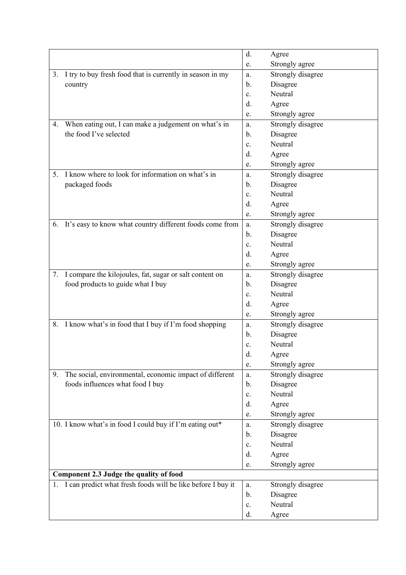|                                                                 | d.             | Agree             |
|-----------------------------------------------------------------|----------------|-------------------|
|                                                                 | e.             | Strongly agree    |
| I try to buy fresh food that is currently in season in my<br>3. | a.             | Strongly disagree |
| country                                                         | b.             | Disagree          |
|                                                                 | c.             | Neutral           |
|                                                                 | d.             | Agree             |
|                                                                 | e.             | Strongly agree    |
| When eating out, I can make a judgement on what's in<br>4.      | a.             | Strongly disagree |
| the food I've selected                                          | b.             | Disagree          |
|                                                                 | c.             | Neutral           |
|                                                                 | d.             | Agree             |
|                                                                 | e.             | Strongly agree    |
| I know where to look for information on what's in<br>5.         | a.             | Strongly disagree |
| packaged foods                                                  | $\mathbf{b}$ . | Disagree          |
|                                                                 | c.             | Neutral           |
|                                                                 | d.             | Agree             |
|                                                                 | e.             | Strongly agree    |
| It's easy to know what country different foods come from<br>6.  | a.             | Strongly disagree |
|                                                                 | $\mathbf{b}$ . | Disagree          |
|                                                                 | c.             | Neutral           |
|                                                                 | d.             | Agree             |
|                                                                 | e.             | Strongly agree    |
| I compare the kilojoules, fat, sugar or salt content on<br>7.   | a.             | Strongly disagree |
| food products to guide what I buy                               | b.             | Disagree          |
|                                                                 | $\mathbf{c}$ . | Neutral           |
|                                                                 | d.             | Agree             |
|                                                                 | e.             | Strongly agree    |
| I know what's in food that I buy if I'm food shopping<br>8.     | a.             | Strongly disagree |
|                                                                 | b.             | Disagree          |
|                                                                 | c.             | Neutral           |
|                                                                 | d.             | Agree             |
|                                                                 | e.             | Strongly agree    |
| The social, environmental, economic impact of different<br>9.   | a.             | Strongly disagree |
| foods influences what food I buy                                | b.             | Disagree          |
|                                                                 | c.             | Neutral           |
|                                                                 | d.             | Agree             |
|                                                                 | e.             | Strongly agree    |
| 10. I know what's in food I could buy if I'm eating out*        | a.             | Strongly disagree |
|                                                                 | b.             | Disagree          |
|                                                                 | $\mathbf{c}$ . | Neutral           |
|                                                                 | d.             | Agree             |
|                                                                 | e.             | Strongly agree    |
| Component 2.3 Judge the quality of food                         |                |                   |
| 1. I can predict what fresh foods will be like before I buy it  | a.             | Strongly disagree |
|                                                                 | b.             | Disagree          |
|                                                                 | c.             | Neutral           |
|                                                                 | d.             | Agree             |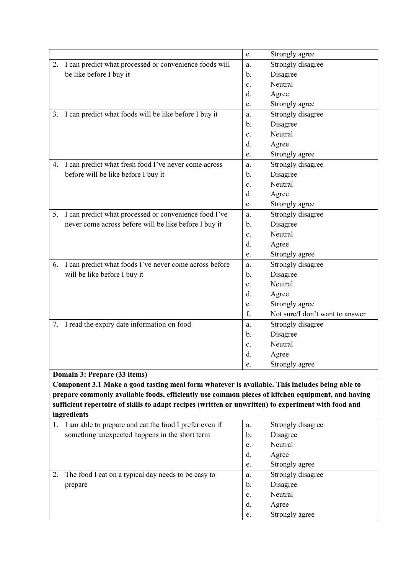|                                                                                                                                                                                                    | Strongly agree<br>e.                  |
|----------------------------------------------------------------------------------------------------------------------------------------------------------------------------------------------------|---------------------------------------|
| I can predict what processed or convenience foods will<br>2.                                                                                                                                       | Strongly disagree<br>a.               |
| be like before I buy it                                                                                                                                                                            | Disagree<br>b.                        |
|                                                                                                                                                                                                    | Neutral<br>c.                         |
|                                                                                                                                                                                                    | d.<br>Agree                           |
|                                                                                                                                                                                                    | Strongly agree<br>e.                  |
| I can predict what foods will be like before I buy it<br>3.                                                                                                                                        | Strongly disagree<br>a.               |
|                                                                                                                                                                                                    | Disagree<br>b.                        |
|                                                                                                                                                                                                    | Neutral<br>c.                         |
|                                                                                                                                                                                                    | Agree<br>d.                           |
|                                                                                                                                                                                                    | Strongly agree<br>e.                  |
| 4. I can predict what fresh food I've never come across                                                                                                                                            | Strongly disagree<br>a.               |
| before will be like before I buy it                                                                                                                                                                | Disagree<br>b.                        |
|                                                                                                                                                                                                    | Neutral<br>c.                         |
|                                                                                                                                                                                                    | Agree<br>d.                           |
|                                                                                                                                                                                                    | Strongly agree<br>e.                  |
| I can predict what processed or convenience food I've<br>5.                                                                                                                                        | Strongly disagree<br>a.               |
| never come across before will be like before I buy it                                                                                                                                              | Disagree<br>b.                        |
|                                                                                                                                                                                                    | Neutral<br>c.                         |
|                                                                                                                                                                                                    | d.<br>Agree                           |
|                                                                                                                                                                                                    | Strongly agree<br>e.                  |
| I can predict what foods I've never come across before<br>6.                                                                                                                                       | Strongly disagree<br>a.               |
| will be like before I buy it                                                                                                                                                                       | Disagree<br>b.                        |
|                                                                                                                                                                                                    | Neutral<br>c.                         |
|                                                                                                                                                                                                    | d.<br>Agree                           |
|                                                                                                                                                                                                    | Strongly agree<br>e.                  |
|                                                                                                                                                                                                    | f.<br>Not sure/I don't want to answer |
| 7. I read the expiry date information on food                                                                                                                                                      | Strongly disagree<br>a.               |
|                                                                                                                                                                                                    | Disagree<br>b.                        |
|                                                                                                                                                                                                    | Neutral<br>c.                         |
|                                                                                                                                                                                                    | d.<br>Agree                           |
|                                                                                                                                                                                                    | Strongly agree<br>e.                  |
| Domain 3: Prepare (33 items)                                                                                                                                                                       |                                       |
| Component 3.1 Make a good tasting meal form whatever is available. This includes being able to<br>prepare commonly available foods, efficiently use common pieces of kitchen equipment, and having |                                       |
| sufficient repertoire of skills to adapt recipes (written or unwritten) to experiment with food and                                                                                                |                                       |
| ingredients                                                                                                                                                                                        |                                       |
| 1. I am able to prepare and eat the food I prefer even if                                                                                                                                          | Strongly disagree<br>a.               |
| something unexpected happens in the short term                                                                                                                                                     | Disagree<br>b.                        |
|                                                                                                                                                                                                    | Neutral<br>c.                         |
|                                                                                                                                                                                                    | Agree<br>d.                           |
|                                                                                                                                                                                                    | Strongly agree<br>e.                  |
| The food I eat on a typical day needs to be easy to<br>2.                                                                                                                                          | Strongly disagree<br>a.               |
| prepare                                                                                                                                                                                            | Disagree<br>b.                        |
|                                                                                                                                                                                                    | Neutral<br>c.                         |
|                                                                                                                                                                                                    | Agree<br>d.                           |
|                                                                                                                                                                                                    | Strongly agree<br>e.                  |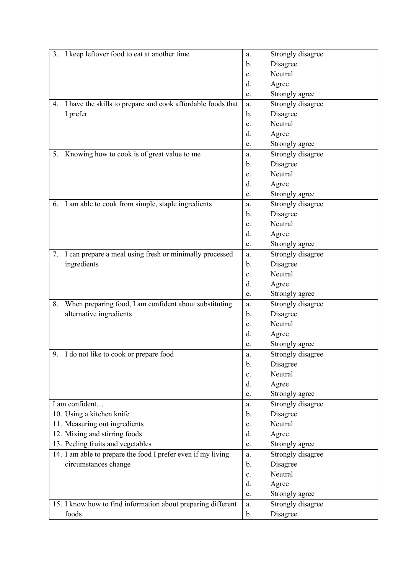| 3. I keep leftover food to eat at another time                 | a.                         | Strongly disagree |
|----------------------------------------------------------------|----------------------------|-------------------|
|                                                                | Disagree<br>b.             |                   |
|                                                                | Neutral<br>$\mathbf{c}$ .  |                   |
|                                                                | Agree<br>d.                |                   |
|                                                                | e.                         | Strongly agree    |
| 4. I have the skills to prepare and cook affordable foods that | a.                         | Strongly disagree |
| I prefer                                                       | Disagree<br>b.             |                   |
|                                                                | Neutral<br>$\mathbf{c}$ .  |                   |
|                                                                | d.<br>Agree                |                   |
|                                                                | e.                         | Strongly agree    |
| Knowing how to cook is of great value to me<br>5.              | a.                         | Strongly disagree |
|                                                                | Disagree<br>b.             |                   |
|                                                                | Neutral<br>$\mathbf{c}$ .  |                   |
|                                                                | d.<br>Agree                |                   |
|                                                                | e.                         | Strongly agree    |
| 6. I am able to cook from simple, staple ingredients           | a.                         | Strongly disagree |
|                                                                | Disagree<br>b.             |                   |
|                                                                | Neutral<br>c.              |                   |
|                                                                | d.<br>Agree                |                   |
|                                                                | e.                         | Strongly agree    |
| I can prepare a meal using fresh or minimally processed<br>7.  | a.                         | Strongly disagree |
| ingredients                                                    | Disagree<br>$\mathbf{b}$ . |                   |
|                                                                | Neutral<br>$\mathbf{c}$ .  |                   |
|                                                                | Agree<br>d.                |                   |
|                                                                | e.                         | Strongly agree    |
| When preparing food, I am confident about substituting<br>8.   | a.                         | Strongly disagree |
| alternative ingredients                                        | Disagree<br>b.             |                   |
|                                                                | Neutral<br>$\mathbf{c}$ .  |                   |
|                                                                | d.<br>Agree                |                   |
|                                                                | e.                         | Strongly agree    |
| 9. I do not like to cook or prepare food                       | a.                         | Strongly disagree |
|                                                                | Disagree<br>b.             |                   |
|                                                                | Neutral<br>$\mathbf{c}$ .  |                   |
|                                                                | d.<br>Agree                |                   |
|                                                                | e.                         | Strongly agree    |
| I am confident                                                 | a.                         | Strongly disagree |
| 10. Using a kitchen knife                                      | Disagree<br>b.             |                   |
| 11. Measuring out ingredients                                  | Neutral<br>$\mathbf{c}$ .  |                   |
| 12. Mixing and stirring foods                                  | d.<br>Agree                |                   |
| 13. Peeling fruits and vegetables                              | e.                         | Strongly agree    |
| 14. I am able to prepare the food I prefer even if my living   | a.                         | Strongly disagree |
| circumstances change                                           | Disagree<br>$\mathbf{b}$ . |                   |
|                                                                | Neutral<br>$\mathbf{c}$ .  |                   |
|                                                                | Agree<br>d.                |                   |
|                                                                | e.                         | Strongly agree    |
| 15. I know how to find information about preparing different   | a.                         | Strongly disagree |
| foods                                                          | Disagree<br>b.             |                   |
|                                                                |                            |                   |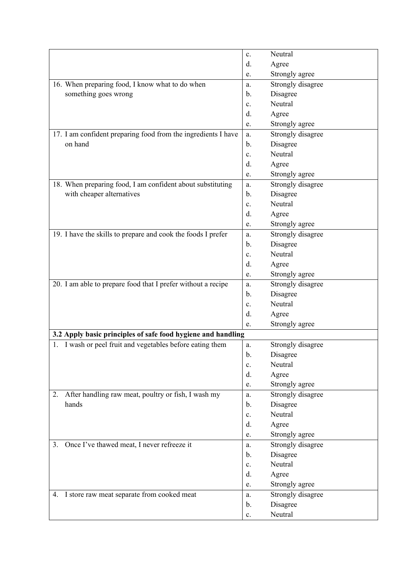|                                                               | Neutral<br>c.           |
|---------------------------------------------------------------|-------------------------|
|                                                               | d.<br>Agree             |
|                                                               | Strongly agree<br>e.    |
| 16. When preparing food, I know what to do when               | Strongly disagree<br>a. |
| something goes wrong                                          | Disagree<br>b.          |
|                                                               | Neutral<br>c.           |
|                                                               | d.<br>Agree             |
|                                                               | Strongly agree<br>e.    |
| 17. I am confident preparing food from the ingredients I have | Strongly disagree<br>a. |
| on hand                                                       | Disagree<br>b.          |
|                                                               | Neutral<br>c.           |
|                                                               | Agree<br>d.             |
|                                                               | Strongly agree<br>e.    |
| 18. When preparing food, I am confident about substituting    | Strongly disagree<br>a. |
| with cheaper alternatives                                     | Disagree<br>b.          |
|                                                               | Neutral<br>c.           |
|                                                               | Agree<br>d.             |
|                                                               | Strongly agree<br>e.    |
| 19. I have the skills to prepare and cook the foods I prefer  | Strongly disagree<br>a. |
|                                                               | Disagree<br>b.          |
|                                                               | Neutral<br>c.           |
|                                                               | Agree<br>d.             |
|                                                               | Strongly agree<br>e.    |
| 20. I am able to prepare food that I prefer without a recipe  | Strongly disagree<br>a. |
|                                                               | Disagree<br>b.          |
|                                                               | Neutral<br>c.           |
|                                                               | d.<br>Agree             |
|                                                               | Strongly agree<br>e.    |
| 3.2 Apply basic principles of safe food hygiene and handling  |                         |
| I wash or peel fruit and vegetables before eating them<br>1.  | Strongly disagree<br>a. |
|                                                               | b.<br>Disagree          |
|                                                               | Neutral<br>c.           |
|                                                               | Agree<br>d.             |
|                                                               | Strongly agree<br>e.    |
| After handling raw meat, poultry or fish, I wash my<br>2.     | Strongly disagree<br>a. |
| hands                                                         | Disagree<br>b.          |
|                                                               | Neutral<br>c.           |
|                                                               | Agree<br>d.             |
|                                                               | Strongly agree<br>e.    |
| Once I've thawed meat, I never refreeze it<br>3.              | Strongly disagree<br>a. |
|                                                               | Disagree<br>b.          |
|                                                               | Neutral<br>c.           |
|                                                               | d.<br>Agree             |
|                                                               | Strongly agree<br>e.    |
| I store raw meat separate from cooked meat<br>4.              | Strongly disagree<br>a. |
|                                                               | Disagree<br>b.          |
|                                                               | Neutral<br>c.           |
|                                                               |                         |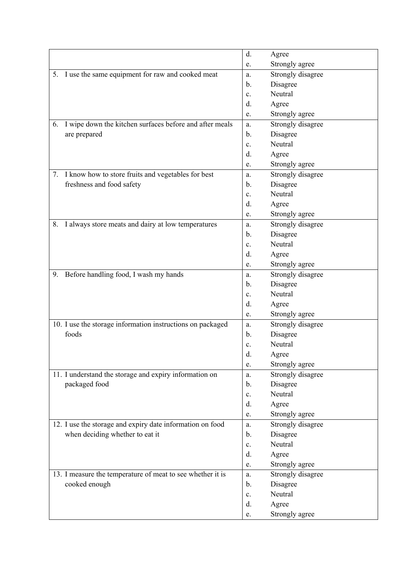|    |                                                            | d.             | Agree             |
|----|------------------------------------------------------------|----------------|-------------------|
|    |                                                            | e.             | Strongly agree    |
|    | 5. I use the same equipment for raw and cooked meat        | a.             | Strongly disagree |
|    |                                                            | b.             | Disagree          |
|    |                                                            | c.             | Neutral           |
|    |                                                            | d.             | Agree             |
|    |                                                            | e.             | Strongly agree    |
| 6. | I wipe down the kitchen surfaces before and after meals    | a.             | Strongly disagree |
|    | are prepared                                               | b.             | Disagree          |
|    |                                                            | c.             | Neutral           |
|    |                                                            | d.             | Agree             |
|    |                                                            | e.             | Strongly agree    |
|    | 7. I know how to store fruits and vegetables for best      | a.             | Strongly disagree |
|    | freshness and food safety                                  | $\mathbf{b}$ . | Disagree          |
|    |                                                            | c.             | Neutral           |
|    |                                                            | d.             | Agree             |
|    |                                                            | e.             | Strongly agree    |
| 8. | I always store meats and dairy at low temperatures         | a.             | Strongly disagree |
|    |                                                            | b.             | Disagree          |
|    |                                                            | c.             | Neutral           |
|    |                                                            | d.             | Agree             |
|    |                                                            | e.             | Strongly agree    |
| 9. | Before handling food, I wash my hands                      | a.             | Strongly disagree |
|    |                                                            | b.             | Disagree          |
|    |                                                            | $\mathbf{c}$ . | Neutral           |
|    |                                                            | d.             | Agree             |
|    |                                                            | e.             | Strongly agree    |
|    | 10. I use the storage information instructions on packaged | a.             | Strongly disagree |
|    | foods                                                      | b.             | Disagree          |
|    |                                                            | c.             | Neutral           |
|    |                                                            | d.             | Agree             |
|    |                                                            | e.             | Strongly agree    |
|    | 11. I understand the storage and expiry information on     | a.             | Strongly disagree |
|    | packaged food                                              | b.             | Disagree          |
|    |                                                            | c.             | Neutral           |
|    |                                                            | d.             | Agree             |
|    |                                                            | e.             | Strongly agree    |
|    | 12. I use the storage and expiry date information on food  | a.             | Strongly disagree |
|    | when deciding whether to eat it                            | b.             | Disagree          |
|    |                                                            | $\mathbf{c}$ . | Neutral           |
|    |                                                            | d.             | Agree             |
|    |                                                            | e.             | Strongly agree    |
|    | 13. I measure the temperature of meat to see whether it is | a.             | Strongly disagree |
|    | cooked enough                                              | b.             | Disagree          |
|    |                                                            | c.             | Neutral           |
|    |                                                            | d.             | Agree             |
|    |                                                            | e.             | Strongly agree    |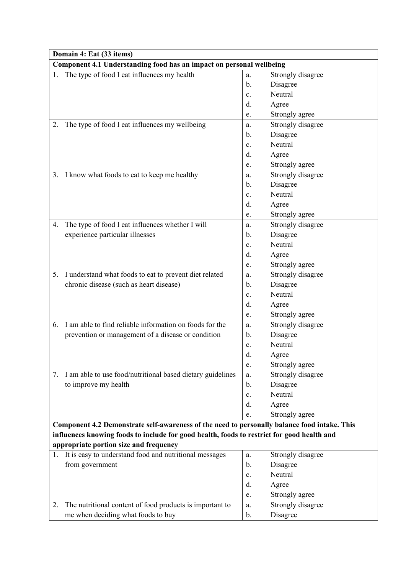|    | Domain 4: Eat (33 items)                                                                     |                |                   |  |  |
|----|----------------------------------------------------------------------------------------------|----------------|-------------------|--|--|
|    | Component 4.1 Understanding food has an impact on personal wellbeing                         |                |                   |  |  |
| 1. | The type of food I eat influences my health<br>Strongly disagree<br>a.                       |                |                   |  |  |
|    |                                                                                              | b.             | Disagree          |  |  |
|    |                                                                                              | $\mathbf{c}$ . | Neutral           |  |  |
|    |                                                                                              | d.             | Agree             |  |  |
|    |                                                                                              | e.             | Strongly agree    |  |  |
| 2. | The type of food I eat influences my wellbeing                                               | a.             | Strongly disagree |  |  |
|    |                                                                                              | $\mathbf{b}$ . | Disagree          |  |  |
|    |                                                                                              | $\mathbf{c}$ . | Neutral           |  |  |
|    |                                                                                              | d.             | Agree             |  |  |
|    |                                                                                              | e.             | Strongly agree    |  |  |
|    | 3. I know what foods to eat to keep me healthy                                               | a.             | Strongly disagree |  |  |
|    |                                                                                              | $\mathbf{b}$ . | Disagree          |  |  |
|    |                                                                                              | $\mathbf{c}$ . | Neutral           |  |  |
|    |                                                                                              | $d$ .          | Agree             |  |  |
|    |                                                                                              | e.             | Strongly agree    |  |  |
| 4. | The type of food I eat influences whether I will                                             | a.             | Strongly disagree |  |  |
|    | experience particular illnesses                                                              | $\mathbf{b}$ . | Disagree          |  |  |
|    |                                                                                              | $\mathbf{c}$ . | Neutral           |  |  |
|    |                                                                                              | d.             | Agree             |  |  |
|    |                                                                                              | e.             | Strongly agree    |  |  |
| 5. | I understand what foods to eat to prevent diet related                                       | a.             | Strongly disagree |  |  |
|    | chronic disease (such as heart disease)                                                      | $\mathbf{b}$ . | Disagree          |  |  |
|    |                                                                                              | $\mathbf{c}$ . | Neutral           |  |  |
|    |                                                                                              | d.             | Agree             |  |  |
|    |                                                                                              | e.             | Strongly agree    |  |  |
| 6. | I am able to find reliable information on foods for the                                      | a.             | Strongly disagree |  |  |
|    | prevention or management of a disease or condition                                           | $\mathbf{b}$ . | Disagree          |  |  |
|    |                                                                                              | c.             | Neutral           |  |  |
|    |                                                                                              | d.             | Agree             |  |  |
|    |                                                                                              | e.             | Strongly agree    |  |  |
| 7. | I am able to use food/nutritional based dietary guidelines                                   | a.             | Strongly disagree |  |  |
|    | to improve my health                                                                         | b.             | Disagree          |  |  |
|    |                                                                                              | c.             | Neutral           |  |  |
|    |                                                                                              | d.             | Agree             |  |  |
|    |                                                                                              | e.             | Strongly agree    |  |  |
|    | Component 4.2 Demonstrate self-awareness of the need to personally balance food intake. This |                |                   |  |  |
|    | influences knowing foods to include for good health, foods to restrict for good health and   |                |                   |  |  |
|    | appropriate portion size and frequency                                                       |                |                   |  |  |
|    | 1. It is easy to understand food and nutritional messages                                    | a.             | Strongly disagree |  |  |
|    | from government                                                                              | $\mathbf{b}$ . | Disagree          |  |  |
|    |                                                                                              | $\mathbf{c}$ . | Neutral           |  |  |
|    |                                                                                              | d.             | Agree             |  |  |
|    |                                                                                              | e.             | Strongly agree    |  |  |
| 2. | The nutritional content of food products is important to                                     | a.             | Strongly disagree |  |  |
|    | me when deciding what foods to buy                                                           | b.             | Disagree          |  |  |
|    |                                                                                              |                |                   |  |  |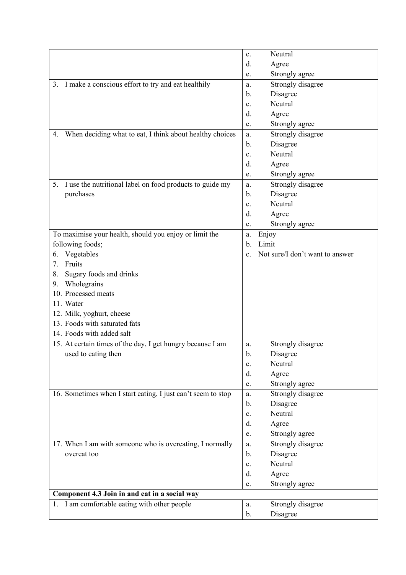|                                                                | Neutral<br>c.                                     |
|----------------------------------------------------------------|---------------------------------------------------|
|                                                                | Agree<br>d.                                       |
|                                                                | Strongly agree<br>e.                              |
| 3. I make a conscious effort to try and eat healthily          | Strongly disagree<br>a.                           |
|                                                                | Disagree<br>b.                                    |
|                                                                | Neutral<br>c.                                     |
|                                                                | Agree<br>d.                                       |
|                                                                | Strongly agree<br>e.                              |
| When deciding what to eat, I think about healthy choices<br>4. | Strongly disagree<br>a.                           |
|                                                                | Disagree<br>$\mathbf{b}$ .                        |
|                                                                | Neutral<br>$\mathbf{c}$ .                         |
|                                                                | Agree<br>d.                                       |
|                                                                | Strongly agree<br>e.                              |
| I use the nutritional label on food products to guide my<br>5. | Strongly disagree<br>a.                           |
| purchases                                                      | Disagree<br>b.                                    |
|                                                                | Neutral<br>$\mathbf{c}$ .                         |
|                                                                | Agree<br>d.                                       |
|                                                                | Strongly agree<br>e.                              |
| To maximise your health, should you enjoy or limit the         | Enjoy<br>a.                                       |
| following foods;                                               | Limit<br>b.                                       |
| Vegetables<br>6.                                               | Not sure/I don't want to answer<br>$\mathbf{c}$ . |
| Fruits<br>7.                                                   |                                                   |
| Sugary foods and drinks<br>8.                                  |                                                   |
| Wholegrains<br>9.                                              |                                                   |
| 10. Processed meats                                            |                                                   |
| 11. Water                                                      |                                                   |
| 12. Milk, yoghurt, cheese                                      |                                                   |
| 13. Foods with saturated fats                                  |                                                   |
| 14. Foods with added salt                                      |                                                   |
| 15. At certain times of the day, I get hungry because I am     | Strongly disagree<br>a.                           |
| used to eating then                                            | b.<br>Disagree                                    |
|                                                                | Neutral<br>c.                                     |
|                                                                | d.<br>Agree                                       |
|                                                                | Strongly agree<br>e.                              |
| 16. Sometimes when I start eating, I just can't seem to stop   | Strongly disagree<br>a.                           |
|                                                                | Disagree<br>$\mathbf{b}$ .                        |
|                                                                | Neutral<br>c.                                     |
|                                                                | Agree<br>d.                                       |
|                                                                | Strongly agree<br>e.                              |
| 17. When I am with someone who is overeating, I normally       | Strongly disagree<br>a.                           |
| overeat too                                                    | Disagree<br>b.                                    |
|                                                                | Neutral<br>c.                                     |
|                                                                | Agree<br>d.                                       |
|                                                                | Strongly agree<br>e.                              |
| Component 4.3 Join in and eat in a social way                  |                                                   |
| 1. I am comfortable eating with other people                   | Strongly disagree<br>a.                           |
|                                                                | Disagree<br>b.                                    |
|                                                                |                                                   |